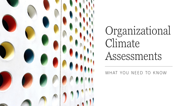

# Organizational Climate Assessments

WHAT YOU NEED TO KNOW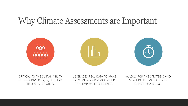## Why Climate Assessments are Important



CRITICAL TO THE SUSTAINABILITY OF YOUR DIVERSITY, EQUITY, AND INCLUSION STRATEGY.

LEVERAGES REAL DATA TO MAKE INFORMED DECISIONS AROUND THE EMPLOYEE EXPERIENCE.

ALLOWS FOR THE STRATEGIC AND MEASURABLE EVALUATION OF CHANGE OVER TIME.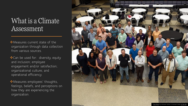### What is a Climate Assessment

◆Measures current state of the organization through data collection from various sources.

❖Can be used for: diversity, equity and inclusion; employee engagement and/or satisfaction; organizational culture; and operational efficiency.

❖Measures employees' thoughts, feelings, beliefs, and perceptions on how they are experiencing the organization.

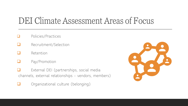# DEI Climate Assessment Areas of Focus

- ❑ Policies/Practices
- ❑ Recruitment/Selection
- ❑ Retention
- Pay/Promotion
- External DEI (partnerships, social media channels, external relationships - vendors, members)
- ❑ Organizational culture (belonging)

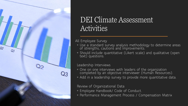

### DEI Climate Assessment Activities

All Employee Survey

- Use a standard survey analysis methodology to determine areas of strengths, cautions and improvements.
- Should include quantitative (Likert scale) and qualitative (open text) questions.

#### Leadership Interviews

- One on one interviews with leaders of the organization completed by an objective interviewer (Human Resources).
- Add in a leadership survey to provide more quantitative data.

#### Review of Organizational Data

- Employee Handbook/ Code of Conduct.
- Performance Management Process / Compensation Matrix